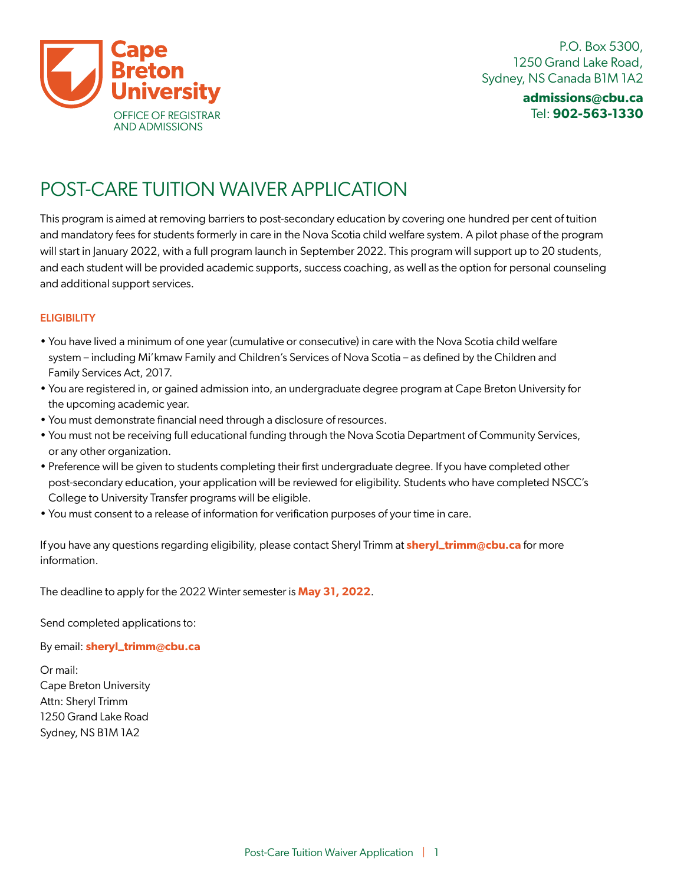

# POST-CARE TUITION WAIVER APPLICATION

This program is aimed at removing barriers to post-secondary education by covering one hundred per cent of tuition and mandatory fees for students formerly in care in the Nova Scotia child welfare system. A pilot phase of the program will start in January 2022, with a full program launch in September 2022. This program will support up to 20 students, and each student will be provided academic supports, success coaching, as well as the option for personal counseling and additional support services.

### **ELIGIBILITY**

- You have lived a minimum of one year (cumulative or consecutive) in care with the Nova Scotia child welfare system – including Mi'kmaw Family and Children's Services of Nova Scotia – as defined by the Children and Family Services Act, 2017.
- You are registered in, or gained admission into, an undergraduate degree program at Cape Breton University for the upcoming academic year.
- You must demonstrate financial need through a disclosure of resources.
- You must not be receiving full educational funding through the Nova Scotia Department of Community Services, or any other organization.
- Preference will be given to students completing their first undergraduate degree. If you have completed other post-secondary education, your application will be reviewed for eligibility. Students who have completed NSCC's College to University Transfer programs will be eligible.
- You must consent to a release of information for verification purposes of your time in care.

If you have any questions regarding eligibility, please contact Sheryl Trimm at **sheryl\_trimm@cbu.ca** for more information.

The deadline to apply for the 2022 Winter semester is **May 31, 2022**.

Send completed applications to:

By email: **sheryl\_trimm@cbu.ca**

Or mail: Cape Breton University Attn: Sheryl Trimm 1250 Grand Lake Road Sydney, NS B1M 1A2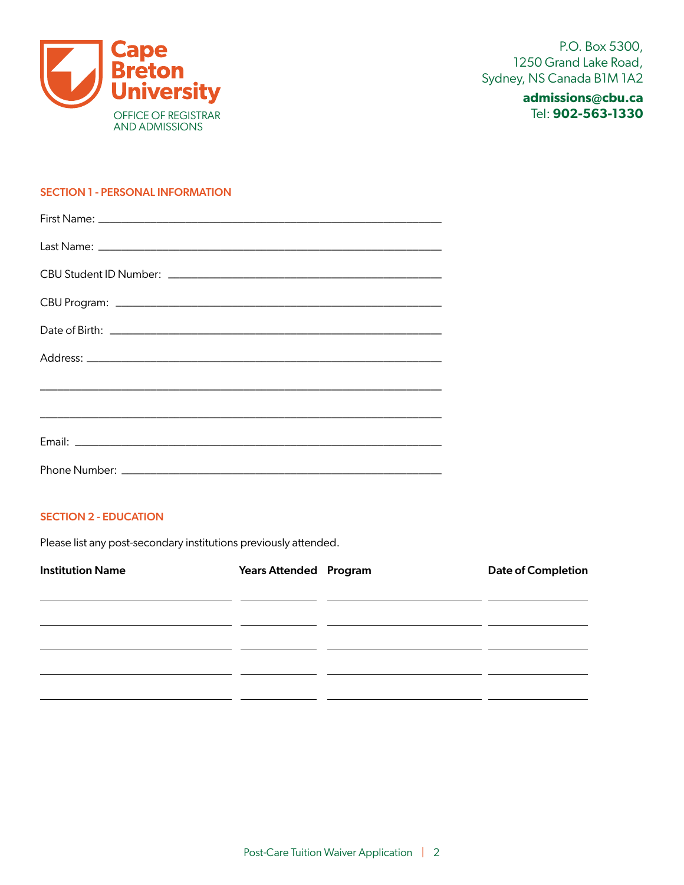

## **admissions@cbu.ca** Tel: **902-563-1330**

#### SECTION 1 - PERSONAL INFORMATION

#### SECTION 2 - EDUCATION

Please list any post-secondary institutions previously attended.

| <b>Institution Name</b> | <b>Years Attended Program</b> | <b>Date of Completion</b> |
|-------------------------|-------------------------------|---------------------------|
|                         |                               |                           |
|                         |                               |                           |
|                         |                               |                           |
|                         |                               |                           |
|                         |                               |                           |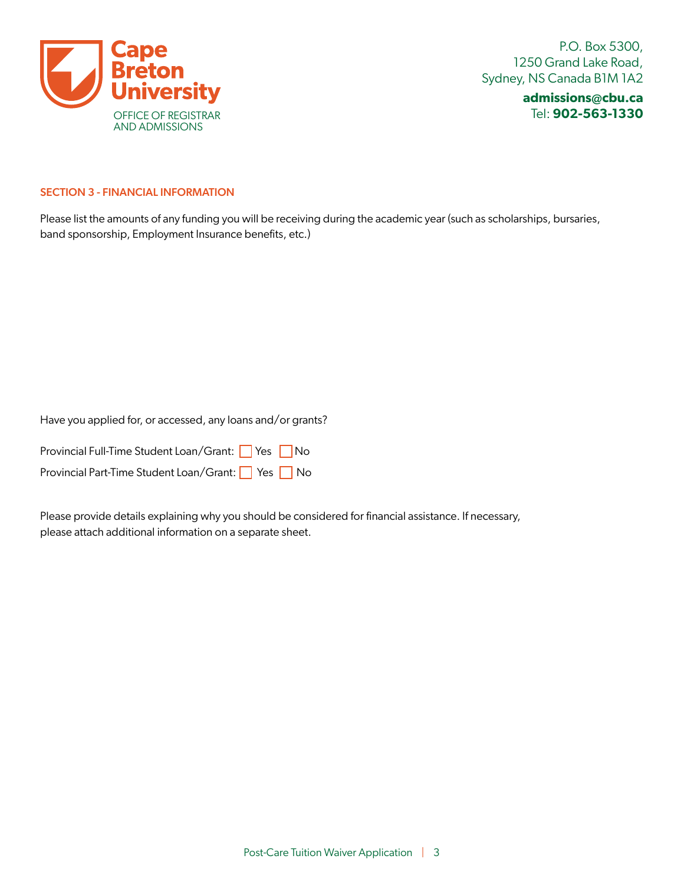

P.O. Box 5300, 1250 Grand Lake Road, Sydney, NS Canada B1M 1A2

> **admissions@cbu.ca** Tel: **902-563-1330**

#### SECTION 3 - FINANCIAL INFORMATION

Please list the amounts of any funding you will be receiving during the academic year (such as scholarships, bursaries, band sponsorship, Employment Insurance benefits, etc.)

Have you applied for, or accessed, any loans and/or grants?

| Provincial Full-Time Student Loan/Grant: Ves No |  |  |
|-------------------------------------------------|--|--|
| Provincial Part-Time Student Loan/Grant: Ses No |  |  |

Please provide details explaining why you should be considered for financial assistance. If necessary, please attach additional information on a separate sheet.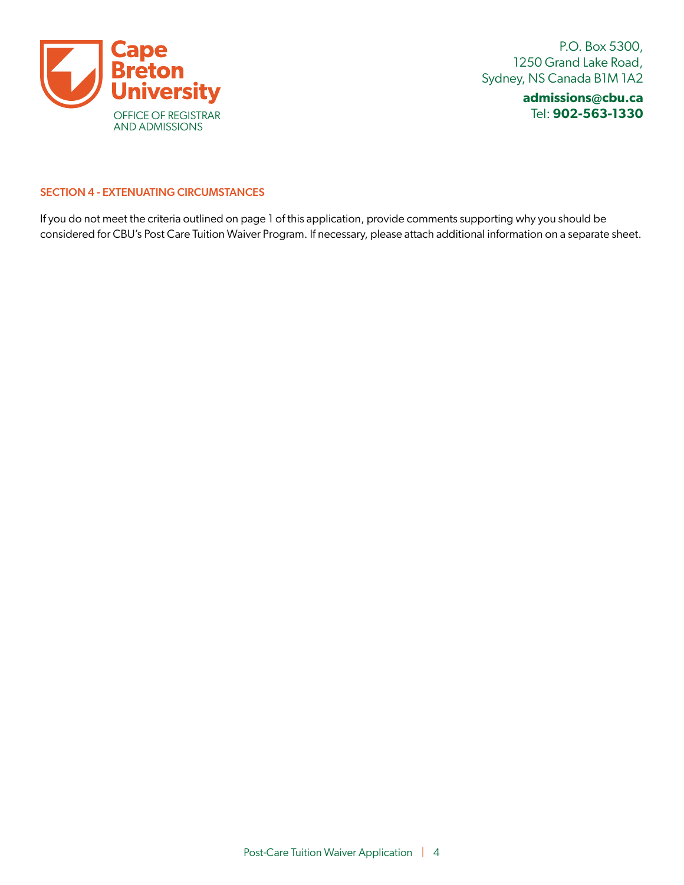

P.O. Box 5300, 1250 Grand Lake Road, Sydney, NS Canada B1M 1A2

> **admissions@cbu.ca** Tel: **902-563-1330**

#### SECTION 4 - EXTENUATING CIRCUMSTANCES

If you do not meet the criteria outlined on page 1 of this application, provide comments supporting why you should be considered for CBU's Post Care Tuition Waiver Program. If necessary, please attach additional information on a separate sheet.